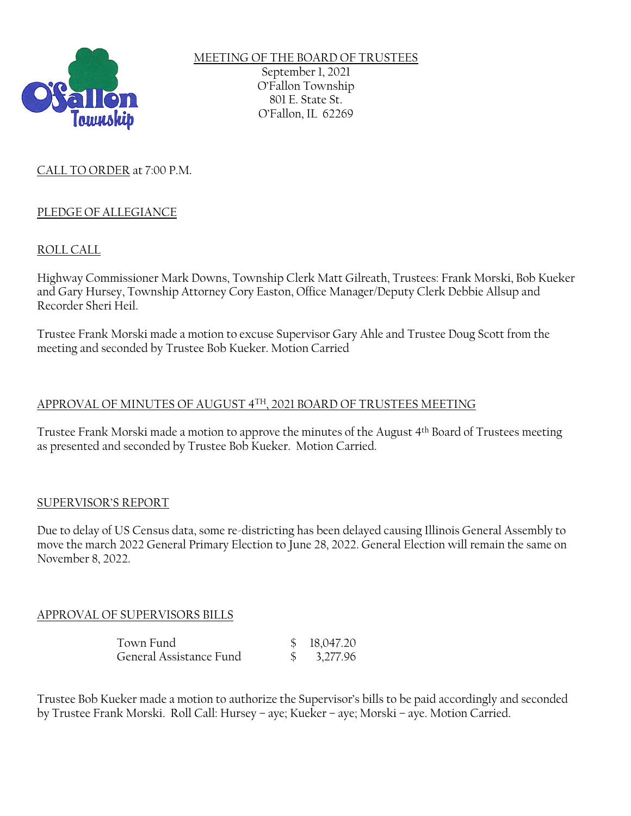

## MEETING OF THE BOARD OF TRUSTEES September 1, 2021 O'Fallon Township 801 E. State St. O'Fallon, IL 62269

# CALL TO ORDER at 7:00 P.M.

## PLEDGE OF ALLEGIANCE

## ROLL CALL

Highway Commissioner Mark Downs, Township Clerk Matt Gilreath, Trustees: Frank Morski, Bob Kueker and Gary Hursey, Township Attorney Cory Easton, Office Manager/Deputy Clerk Debbie Allsup and Recorder Sheri Heil.

Trustee Frank Morski made a motion to excuse Supervisor Gary Ahle and Trustee Doug Scott from the meeting and seconded by Trustee Bob Kueker. Motion Carried

### APPROVAL OF MINUTES OF AUGUST 4TH, 2021 BOARD OF TRUSTEES MEETING

Trustee Frank Morski made a motion to approve the minutes of the August 4th Board of Trustees meeting as presented and seconded by Trustee Bob Kueker. Motion Carried.

### SUPERVISOR'S REPORT

Due to delay of US Census data, some re-districting has been delayed causing Illinois General Assembly to move the march 2022 General Primary Election to June 28, 2022. General Election will remain the same on November 8, 2022.

### APPROVAL OF SUPERVISORS BILLS

| Town Fund               | \$18,047.20             |
|-------------------------|-------------------------|
| General Assistance Fund | $\frac{\$}{2}$ 3,277.96 |

Trustee Bob Kueker made a motion to authorize the Supervisor's bills to be paid accordingly and seconded by Trustee Frank Morski. Roll Call: Hursey – aye; Kueker – aye; Morski – aye. Motion Carried.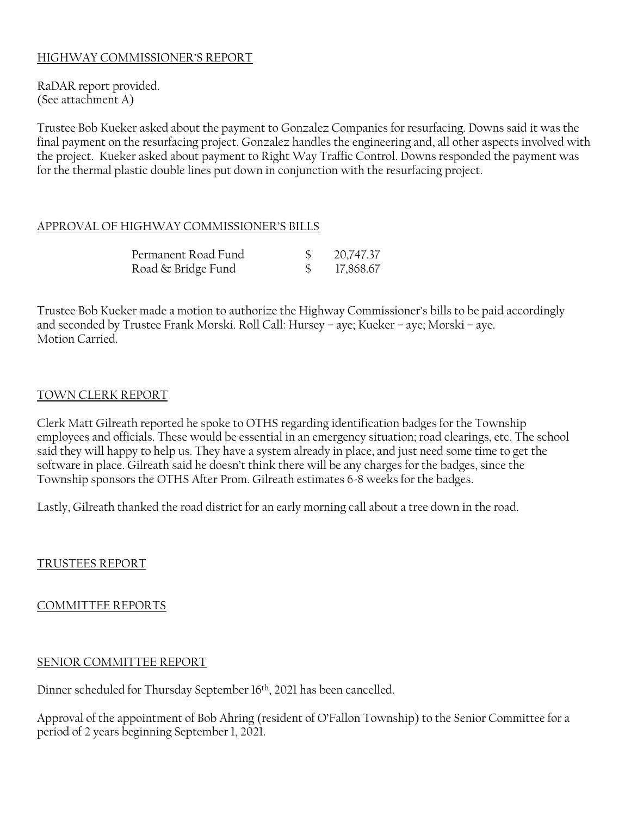## HIGHWAY COMMISSIONER'S REPORT

RaDAR report provided. (See attachment A)

Trustee Bob Kueker asked about the payment to Gonzalez Companies for resurfacing. Downs said it was the final payment on the resurfacing project. Gonzalez handles the engineering and, all other aspects involved with the project. Kueker asked about payment to Right Way Traffic Control. Downs responded the payment was for the thermal plastic double lines put down in conjunction with the resurfacing project.

#### APPROVAL OF HIGHWAY COMMISSIONER'S BILLS

| Permanent Road Fund | 20,747.37 |
|---------------------|-----------|
| Road & Bridge Fund  | 17,868.67 |

Trustee Bob Kueker made a motion to authorize the Highway Commissioner's bills to be paid accordingly and seconded by Trustee Frank Morski. Roll Call: Hursey – aye; Kueker – aye; Morski – aye. Motion Carried.

#### TOWN CLERK REPORT

Clerk Matt Gilreath reported he spoke to OTHS regarding identification badges for the Township employees and officials. These would be essential in an emergency situation; road clearings, etc. The school said they will happy to help us. They have a system already in place, and just need some time to get the software in place. Gilreath said he doesn't think there will be any charges for the badges, since the Township sponsors the OTHS After Prom. Gilreath estimates 6-8 weeks for the badges.

Lastly, Gilreath thanked the road district for an early morning call about a tree down in the road.

TRUSTEES REPORT

#### COMMITTEE REPORTS

#### SENIOR COMMITTEE REPORT

Dinner scheduled for Thursday September 16th, 2021 has been cancelled.

Approval of the appointment of Bob Ahring (resident of O'Fallon Township) to the Senior Committee for a period of 2 years beginning September 1, 2021.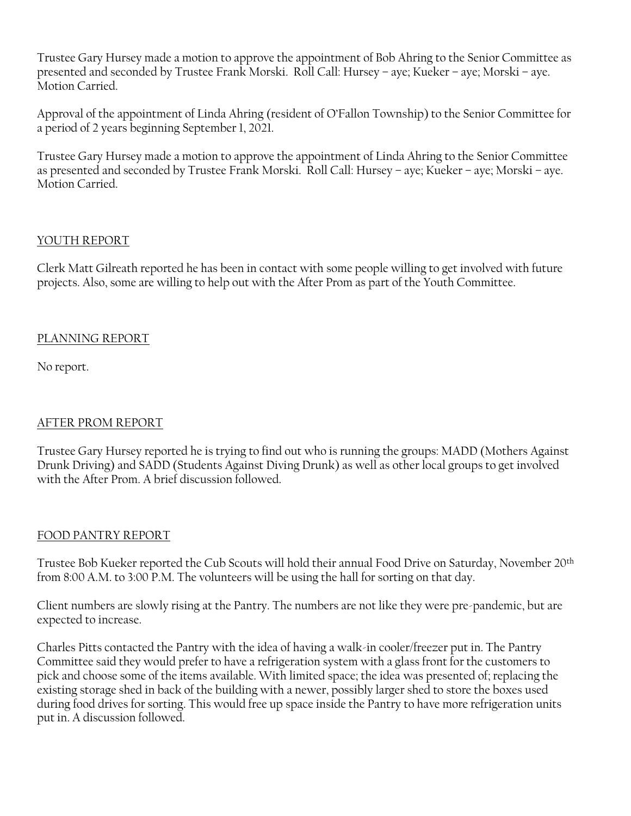Trustee Gary Hursey made a motion to approve the appointment of Bob Ahring to the Senior Committee as presented and seconded by Trustee Frank Morski. Roll Call: Hursey – aye; Kueker – aye; Morski – aye. Motion Carried.

Approval of the appointment of Linda Ahring (resident of O'Fallon Township) to the Senior Committee for a period of 2 years beginning September 1, 2021.

Trustee Gary Hursey made a motion to approve the appointment of Linda Ahring to the Senior Committee as presented and seconded by Trustee Frank Morski. Roll Call: Hursey – aye; Kueker – aye; Morski – aye. Motion Carried.

## YOUTH REPORT

Clerk Matt Gilreath reported he has been in contact with some people willing to get involved with future projects. Also, some are willing to help out with the After Prom as part of the Youth Committee.

# PLANNING REPORT

No report.

# AFTER PROM REPORT

Trustee Gary Hursey reported he is trying to find out who is running the groups: MADD (Mothers Against Drunk Driving) and SADD (Students Against Diving Drunk) as well as other local groups to get involved with the After Prom. A brief discussion followed.

### FOOD PANTRY REPORT

Trustee Bob Kueker reported the Cub Scouts will hold their annual Food Drive on Saturday, November 20th from 8:00 A.M. to 3:00 P.M. The volunteers will be using the hall for sorting on that day.

Client numbers are slowly rising at the Pantry. The numbers are not like they were pre-pandemic, but are expected to increase.

Charles Pitts contacted the Pantry with the idea of having a walk-in cooler/freezer put in. The Pantry Committee said they would prefer to have a refrigeration system with a glass front for the customers to pick and choose some of the items available. With limited space; the idea was presented of; replacing the existing storage shed in back of the building with a newer, possibly larger shed to store the boxes used during food drives for sorting. This would free up space inside the Pantry to have more refrigeration units put in. A discussion followed.